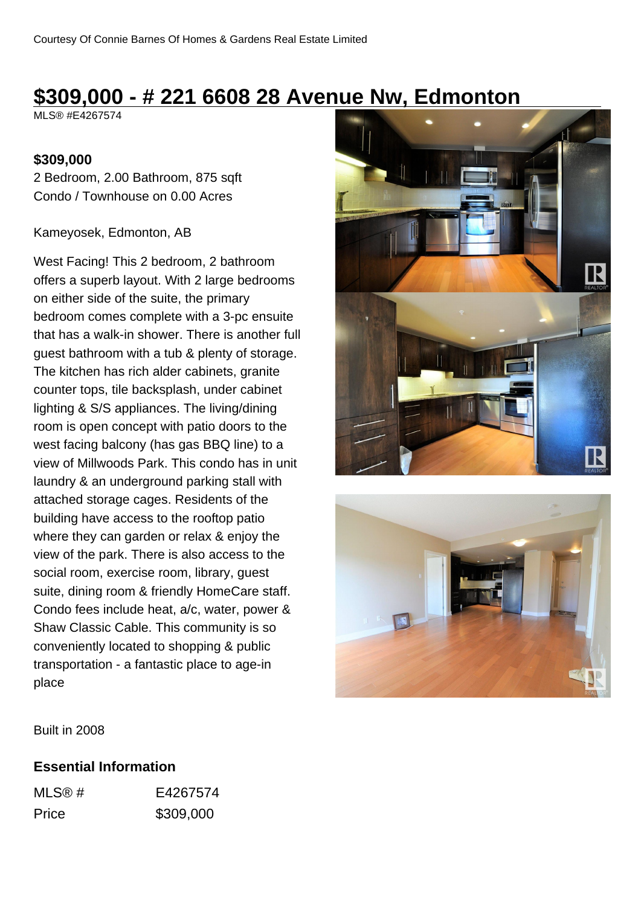# **\$309,000 - # 221 6608 28 Avenue Nw, Edmonton**

MLS® #E4267574

#### **\$309,000**

2 Bedroom, 2.00 Bathroom, 875 sqft Condo / Townhouse on 0.00 Acres

#### Kameyosek, Edmonton, AB

West Facing! This 2 bedroom, 2 bathroom offers a superb layout. With 2 large bedrooms on either side of the suite, the primary bedroom comes complete with a 3-pc ensuite that has a walk-in shower. There is another full guest bathroom with a tub & plenty of storage. The kitchen has rich alder cabinets, granite counter tops, tile backsplash, under cabinet lighting & S/S appliances. The living/dining room is open concept with patio doors to the west facing balcony (has gas BBQ line) to a view of Millwoods Park. This condo has in unit laundry & an underground parking stall with attached storage cages. Residents of the building have access to the rooftop patio where they can garden or relax & enjoy the view of the park. There is also access to the social room, exercise room, library, guest suite, dining room & friendly HomeCare staff. Condo fees include heat, a/c, water, power & Shaw Classic Cable. This community is so conveniently located to shopping & public transportation - a fantastic place to age-in place





Built in 2008

#### **Essential Information**

| MLS@# | E4267574  |
|-------|-----------|
| Price | \$309,000 |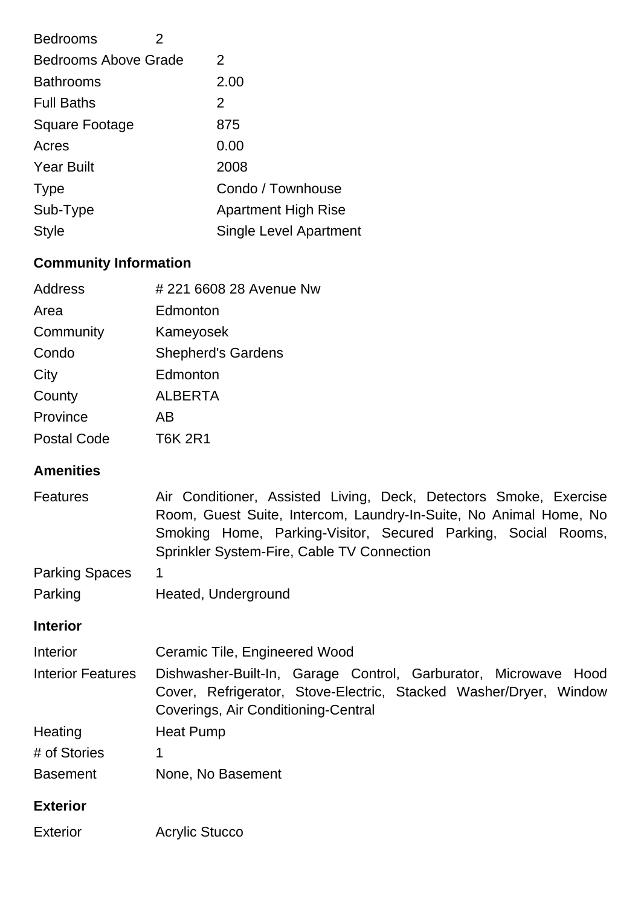| <b>Bedrooms</b><br>2        |                               |
|-----------------------------|-------------------------------|
| <b>Bedrooms Above Grade</b> | 2                             |
| <b>Bathrooms</b>            | 2.00                          |
| <b>Full Baths</b>           | 2                             |
| <b>Square Footage</b>       | 875                           |
| Acres                       | 0.00                          |
| <b>Year Built</b>           | 2008                          |
| <b>Type</b>                 | Condo / Townhouse             |
| Sub-Type                    | <b>Apartment High Rise</b>    |
| <b>Style</b>                | <b>Single Level Apartment</b> |
|                             |                               |

## **Community Information**

| <b>Address</b>     | #221 6608 28 Avenue Nw    |
|--------------------|---------------------------|
| Area               | Edmonton                  |
| Community          | Kameyosek                 |
| Condo              | <b>Shepherd's Gardens</b> |
| City               | Edmonton                  |
| County             | <b>ALBERTA</b>            |
| Province           | ΑB                        |
| <b>Postal Code</b> | <b>T6K 2R1</b>            |
|                    |                           |

### **Amenities**

| <b>Amenities</b>         |                                                                                                                                                                                                                                                       |  |  |
|--------------------------|-------------------------------------------------------------------------------------------------------------------------------------------------------------------------------------------------------------------------------------------------------|--|--|
| <b>Features</b>          | Air Conditioner, Assisted Living, Deck, Detectors Smoke, Exercise<br>Room, Guest Suite, Intercom, Laundry-In-Suite, No Animal Home, No<br>Smoking Home, Parking-Visitor, Secured Parking, Social Rooms,<br>Sprinkler System-Fire, Cable TV Connection |  |  |
| <b>Parking Spaces</b>    | 1                                                                                                                                                                                                                                                     |  |  |
| Parking                  | Heated, Underground                                                                                                                                                                                                                                   |  |  |
| <b>Interior</b>          |                                                                                                                                                                                                                                                       |  |  |
| Interior                 | Ceramic Tile, Engineered Wood                                                                                                                                                                                                                         |  |  |
| <b>Interior Features</b> | Dishwasher-Built-In, Garage Control, Garburator, Microwave Hood<br>Cover, Refrigerator, Stove-Electric, Stacked Washer/Dryer, Window<br>Coverings, Air Conditioning-Central                                                                           |  |  |
| Heating                  | Heat Pump                                                                                                                                                                                                                                             |  |  |
| # of Stories             | 1                                                                                                                                                                                                                                                     |  |  |
| <b>Basement</b>          | None, No Basement                                                                                                                                                                                                                                     |  |  |
| <b>Exterior</b>          |                                                                                                                                                                                                                                                       |  |  |
| <b>Exterior</b>          | <b>Acrylic Stucco</b>                                                                                                                                                                                                                                 |  |  |